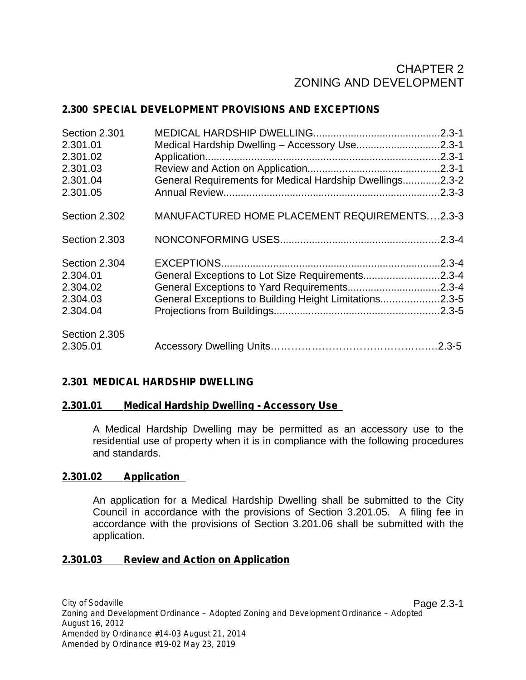# CHAPTER 2 ZONING AND DEVELOPMENT

### **2.300 SPECIAL DEVELOPMENT PROVISIONS AND EXCEPTIONS**

| Section 2.301<br>2.301.01<br>2.301.02<br>2.301.03<br>2.301.04<br>2.301.05 | Medical Hardship Dwelling - Accessory Use2.3-1<br>General Requirements for Medical Hardship Dwellings2.3-2 | $.2.3 - 3$ |
|---------------------------------------------------------------------------|------------------------------------------------------------------------------------------------------------|------------|
| Section 2.302                                                             | MANUFACTURED HOME PLACEMENT REQUIREMENTS2.3-3                                                              |            |
| Section 2.303                                                             |                                                                                                            | .2.3-4     |
| Section 2.304                                                             |                                                                                                            | $.2.3 - 4$ |
| 2.304.01                                                                  | General Exceptions to Lot Size Requirements2.3-4                                                           |            |
| 2.304.02                                                                  |                                                                                                            |            |
| 2.304.03                                                                  | General Exceptions to Building Height Limitations2.3-5                                                     |            |
| 2.304.04                                                                  |                                                                                                            |            |
| Section 2.305                                                             |                                                                                                            |            |
| 2.305.01                                                                  |                                                                                                            |            |

### **2.301 MEDICAL HARDSHIP DWELLING**

#### **2.301.01 Medical Hardship Dwelling - Accessory Use**

A Medical Hardship Dwelling may be permitted as an accessory use to the residential use of property when it is in compliance with the following procedures and standards.

#### **2.301.02 Application**

An application for a Medical Hardship Dwelling shall be submitted to the City Council in accordance with the provisions of Section 3.201.05. A filing fee in accordance with the provisions of Section 3.201.06 shall be submitted with the application.

#### **2.301.03 Review and Action on Application**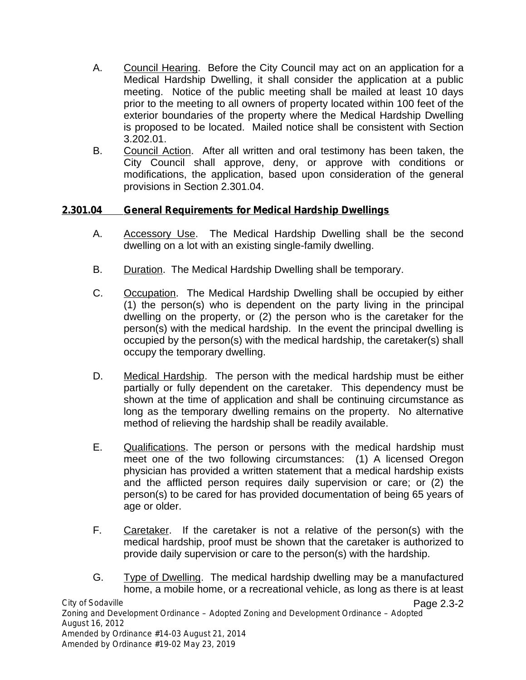- A. Council Hearing. Before the City Council may act on an application for a Medical Hardship Dwelling, it shall consider the application at a public meeting. Notice of the public meeting shall be mailed at least 10 days prior to the meeting to all owners of property located within 100 feet of the exterior boundaries of the property where the Medical Hardship Dwelling is proposed to be located. Mailed notice shall be consistent with Section 3.202.01.
- B. Council Action. After all written and oral testimony has been taken, the City Council shall approve, deny, or approve with conditions or modifications, the application, based upon consideration of the general provisions in Section 2.301.04.

### **2.301.04 General Requirements for Medical Hardship Dwellings**

- A. Accessory Use. The Medical Hardship Dwelling shall be the second dwelling on a lot with an existing single-family dwelling.
- B. Duration. The Medical Hardship Dwelling shall be temporary.
- C. Occupation. The Medical Hardship Dwelling shall be occupied by either (1) the person(s) who is dependent on the party living in the principal dwelling on the property, or (2) the person who is the caretaker for the person(s) with the medical hardship. In the event the principal dwelling is occupied by the person(s) with the medical hardship, the caretaker(s) shall occupy the temporary dwelling.
- D. Medical Hardship. The person with the medical hardship must be either partially or fully dependent on the caretaker. This dependency must be shown at the time of application and shall be continuing circumstance as long as the temporary dwelling remains on the property. No alternative method of relieving the hardship shall be readily available.
- E. Qualifications. The person or persons with the medical hardship must meet one of the two following circumstances: (1) A licensed Oregon physician has provided a written statement that a medical hardship exists and the afflicted person requires daily supervision or care; or (2) the person(s) to be cared for has provided documentation of being 65 years of age or older.
- F. Caretaker. If the caretaker is not a relative of the person(s) with the medical hardship, proof must be shown that the caretaker is authorized to provide daily supervision or care to the person(s) with the hardship.
- G. Type of Dwelling. The medical hardship dwelling may be a manufactured home, a mobile home, or a recreational vehicle, as long as there is at least *City of Sodaville Zoning and Development Ordinance – Adopted Zoning and Development Ordinance – Adopted* Page 2.3-2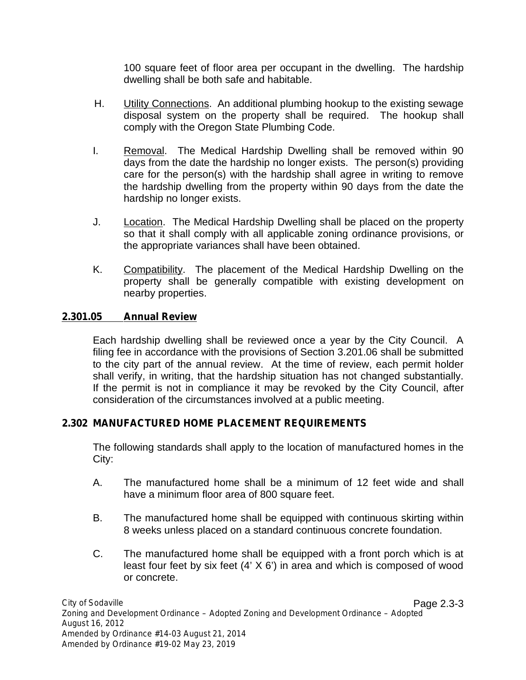100 square feet of floor area per occupant in the dwelling. The hardship dwelling shall be both safe and habitable.

- H. Utility Connections. An additional plumbing hookup to the existing sewage disposal system on the property shall be required. The hookup shall comply with the Oregon State Plumbing Code.
- I. Removal. The Medical Hardship Dwelling shall be removed within 90 days from the date the hardship no longer exists. The person(s) providing care for the person(s) with the hardship shall agree in writing to remove the hardship dwelling from the property within 90 days from the date the hardship no longer exists.
- J. Location. The Medical Hardship Dwelling shall be placed on the property so that it shall comply with all applicable zoning ordinance provisions, or the appropriate variances shall have been obtained.
- K. Compatibility. The placement of the Medical Hardship Dwelling on the property shall be generally compatible with existing development on nearby properties.

### **2.301.05 Annual Review**

Each hardship dwelling shall be reviewed once a year by the City Council. A filing fee in accordance with the provisions of Section 3.201.06 shall be submitted to the city part of the annual review. At the time of review, each permit holder shall verify, in writing, that the hardship situation has not changed substantially. If the permit is not in compliance it may be revoked by the City Council, after consideration of the circumstances involved at a public meeting.

### **2.302 MANUFACTURED HOME PLACEMENT REQUIREMENTS**

The following standards shall apply to the location of manufactured homes in the City:

- A. The manufactured home shall be a minimum of 12 feet wide and shall have a minimum floor area of 800 square feet.
- B. The manufactured home shall be equipped with continuous skirting within 8 weeks unless placed on a standard continuous concrete foundation.
- C. The manufactured home shall be equipped with a front porch which is at least four feet by six feet (4' X 6') in area and which is composed of wood or concrete.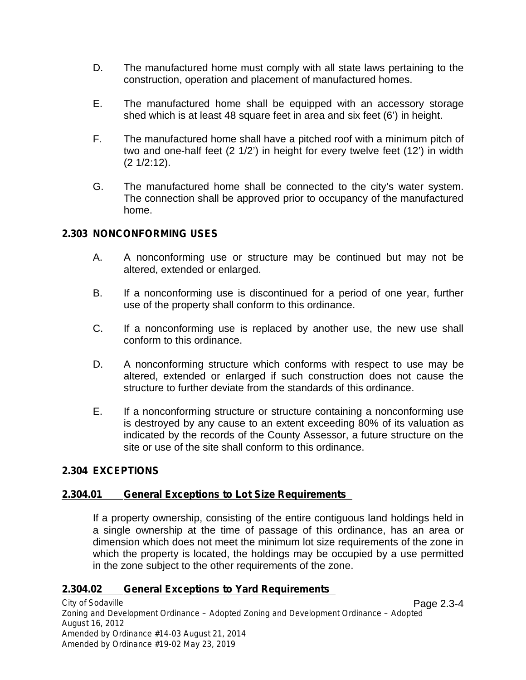- D. The manufactured home must comply with all state laws pertaining to the construction, operation and placement of manufactured homes.
- E. The manufactured home shall be equipped with an accessory storage shed which is at least 48 square feet in area and six feet (6') in height.
- F. The manufactured home shall have a pitched roof with a minimum pitch of two and one-half feet (2 1/2') in height for every twelve feet(12') in width (2 1/2:12).
- G. The manufactured home shall be connected to the city's water system. The connection shall be approved prior to occupancy of the manufactured home.

### **2.303 NONCONFORMING USES**

- A. A nonconforming use or structure may be continued but may not be altered, extended or enlarged.
- B. If a nonconforming use is discontinued for a period of one year, further use of the property shall conform to this ordinance.
- C. If a nonconforming use is replaced by another use, the new use shall conform to this ordinance.
- D. A nonconforming structure which conforms with respect to use may be altered, extended or enlarged if such construction does not cause the structure to further deviate from the standards of this ordinance.
- E. If a nonconforming structure or structure containing a nonconforming use is destroyed by any cause to an extent exceeding 80% of its valuation as indicated by the records of the County Assessor, a future structure on the site or use of the site shall conform to this ordinance.

### **2.304 EXCEPTIONS**

### **2.304.01 General Exceptions to Lot Size Requirements**

If a property ownership, consisting of the entire contiguous land holdings held in a single ownership at the time of passage of this ordinance, has an area or dimension which does not meet the minimum lot size requirements of the zone in which the property is located, the holdings may be occupied by a use permitted in the zone subject to the other requirements of the zone.

### **2.304.02 General Exceptions to Yard Requirements**

*City of Sodaville Zoning and Development Ordinance – Adopted Zoning and Development Ordinance – Adopted August 16, 2012 Amended by Ordinance #14-03 August 21, 2014 Amended by Ordinance #19-02 May 23,2019* Page 2.3-4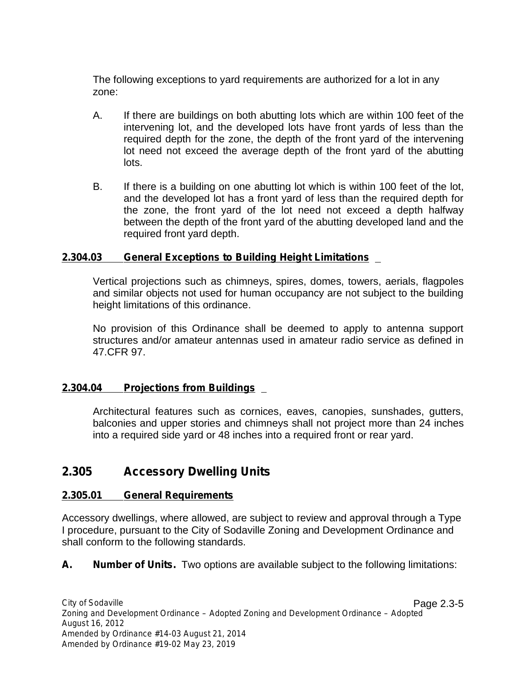The following exceptions to yard requirements are authorized for a lot in any zone:

- A. If there are buildings on both abutting lots which are within 100 feet of the intervening lot, and the developed lots have front yards of less than the required depth for the zone, the depth of the front yard of the intervening lot need not exceed the average depth of the front yard of the abutting lots.
- B. If there is a building on one abutting lot which is within 100 feet of the lot, and the developed lot has a front yard of less than the required depth for the zone, the front yard of the lot need not exceed a depth halfway between the depth of the front yard of the abutting developed land and the required front yard depth.

#### **2.304.03 General Exceptions to Building Height Limitations**

Vertical projections such as chimneys, spires, domes, towers, aerials, flagpoles and similar objects not used for human occupancy are not subject to the building height limitations of this ordinance.

No provision of this Ordinance shall be deemed to apply to antenna support structures and/or amateur antennas used in amateur radio service as defined in 47.CFR 97.

### **2.304.04 Projections from Buildings**

Architectural features such as cornices, eaves, canopies, sunshades, gutters, balconies and upper stories and chimneys shall not project more than 24 inches into a required side yard or 48 inches into a required front or rear yard.

## **2.305 Accessory Dwelling Units**

### **2.305.01 General Requirements**

Accessory dwellings, where allowed, are subject to review and approval through a Type I procedure, pursuant to the City of Sodaville Zoning and Development Ordinance and shall conform to the following standards.

**A. Number of Units.** Two options are available subject to the following limitations: